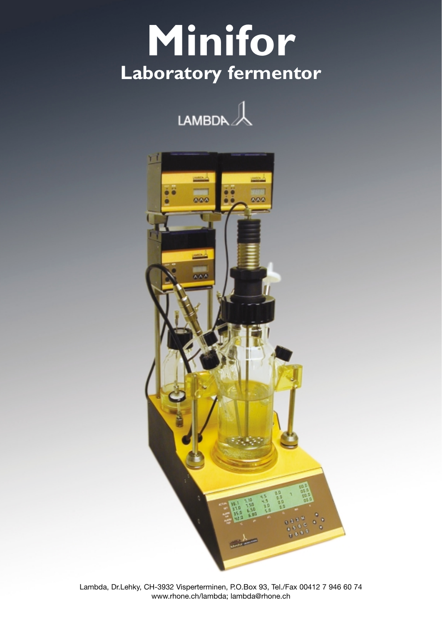# **Minifor Laboratory fermentor**



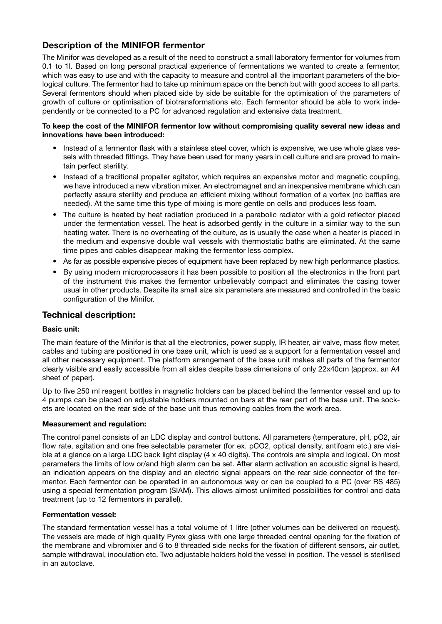# **Description of the MINIFOR fermentor**

The Minifor was developed as a result of the need to construct a small laboratory fermentor for volumes from 0.1 to 1l. Based on long personal practical experience of fermentations we wanted to create a fermentor, which was easy to use and with the capacity to measure and control all the important parameters of the biological culture. The fermentor had to take up minimum space on the bench but with good access to all parts. Several fermentors should when placed side by side be suitable for the optimisation of the parameters of growth of culture or optimisation of biotransformations etc. Each fermentor should be able to work independently or be connected to a PC for advanced regulation and extensive data treatment.

### **To keep the cost of the MINIFOR fermentor low without compromising quality several new ideas and innovations have been introduced:**

- Instead of a fermentor flask with a stainless steel cover, which is expensive, we use whole glass vessels with threaded fittings. They have been used for many years in cell culture and are proved to maintain perfect sterility.
- Instead of a traditional propeller agitator, which requires an expensive motor and magnetic coupling, we have introduced a new vibration mixer. An electromagnet and an inexpensive membrane which can perfectly assure sterility and produce an efficient mixing without formation of a vortex (no baffles are needed). At the same time this type of mixing is more gentle on cells and produces less foam.
- The culture is heated by heat radiation produced in a parabolic radiator with a gold reflector placed under the fermentation vessel. The heat is adsorbed gently in the culture in a similar way to the sun heating water. There is no overheating of the culture, as is usually the case when a heater is placed in the medium and expensive double wall vessels with thermostatic baths are eliminated. At the same time pipes and cables disappear making the fermentor less complex.
- As far as possible expensive pieces of equipment have been replaced by new high performance plastics.
- By using modern microprocessors it has been possible to position all the electronics in the front part of the instrument this makes the fermentor unbelievably compact and eliminates the casing tower usual in other products. Despite its small size six parameters are measured and controlled in the basic configuration of the Minifor.

# **Technical description:**

# **Basic unit:**

The main feature of the Minifor is that all the electronics, power supply, IR heater, air valve, mass flow meter, cables and tubing are positioned in one base unit, which is used as a support for a fermentation vessel and all other necessary equipment. The platform arrangement of the base unit makes all parts of the fermentor clearly visible and easily accessible from all sides despite base dimensions of only 22x40cm (approx. an A4 sheet of paper).

Up to five 250 ml reagent bottles in magnetic holders can be placed behind the fermentor vessel and up to 4 pumps can be placed on adjustable holders mounted on bars at the rear part of the base unit. The sockets are located on the rear side of the base unit thus removing cables from the work area.

# **Measurement and regulation:**

The control panel consists of an LDC display and control buttons. All parameters (temperature, pH, pO2, air flow rate, agitation and one free selectable parameter (for ex. pCO2, optical density, antifoam etc.) are visible at a glance on a large LDC back light display (4 x 40 digits). The controls are simple and logical. On most parameters the limits of low or/and high alarm can be set. After alarm activation an acoustic signal is heard, an indication appears on the display and an electric signal appears on the rear side connector of the fermentor. Each fermentor can be operated in an autonomous way or can be coupled to a PC (over RS 485) using a special fermentation program (SIAM). This allows almost unlimited possibilities for control and data treatment (up to 12 fermentors in parallel).

# **Fermentation vessel:**

The standard fermentation vessel has a total volume of 1 litre (other volumes can be delivered on request). The vessels are made of high quality Pyrex glass with one large threaded central opening for the fixation of the membrane and vibromixer and 6 to 8 threaded side necks for the fixation of different sensors, air outlet, sample withdrawal, inoculation etc. Two adjustable holders hold the vessel in position. The vessel is sterilised in an autoclave.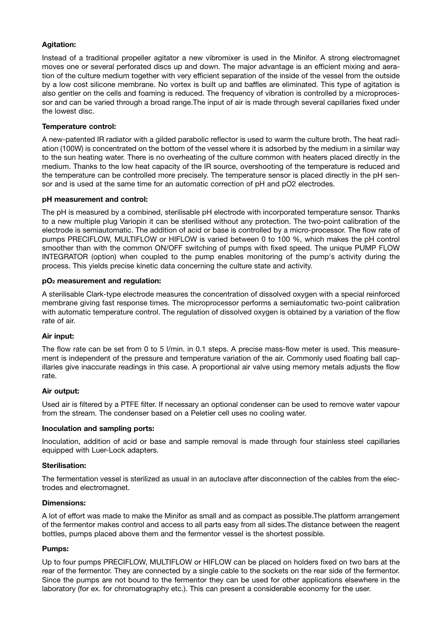# **Agitation:**

Instead of a traditional propeller agitator a new vibromixer is used in the Minifor. A strong electromagnet moves one or several perforated discs up and down. The major advantage is an efficient mixing and aeration of the culture medium together with very efficient separation of the inside of the vessel from the outside by a low cost silicone membrane. No vortex is built up and baffles are eliminated. This type of agitation is also gentler on the cells and foaming is reduced. The frequency of vibration is controlled by a microprocessor and can be varied through a broad range.The input of air is made through several capillaries fixed under the lowest disc.

#### **Temperature control:**

A new-patented IR radiator with a gilded parabolic reflector is used to warm the culture broth. The heat radiation (100W) is concentrated on the bottom of the vessel where it is adsorbed by the medium in a similar way to the sun heating water. There is no overheating of the culture common with heaters placed directly in the medium. Thanks to the low heat capacity of the IR source, overshooting of the temperature is reduced and the temperature can be controlled more precisely. The temperature sensor is placed directly in the pH sensor and is used at the same time for an automatic correction of pH and pO2 electrodes.

#### **pH measurement and control:**

The pH is measured by a combined, sterilisable pH electrode with incorporated temperature sensor. Thanks to a new multiple plug Variopin it can be sterilised without any protection. The two-point calibration of the electrode is semiautomatic. The addition of acid or base is controlled by a micro-processor. The flow rate of pumps PRECIFLOW, MULTIFLOW or HIFLOW is varied between 0 to 100 %, which makes the pH control smoother than with the common ON/OFF switching of pumps with fixed speed. The unique PUMP FLOW INTEGRATOR (option) when coupled to the pump enables monitoring of the pump's activity during the process. This yields precise kinetic data concerning the culture state and activity.

#### **pO2 measurement and regulation:**

A sterilisable Clark-type electrode measures the concentration of dissolved oxygen with a special reinforced membrane giving fast response times. The microprocessor performs a semiautomatic two-point calibration with automatic temperature control. The regulation of dissolved oxygen is obtained by a variation of the flow rate of air.

# **Air input:**

The flow rate can be set from 0 to 5 l/min. in 0.1 steps. A precise mass-flow meter is used. This measurement is independent of the pressure and temperature variation of the air. Commonly used floating ball capillaries give inaccurate readings in this case. A proportional air valve using memory metals adjusts the flow rate.

#### **Air output:**

Used air is filtered by a PTFE filter. If necessary an optional condenser can be used to remove water vapour from the stream. The condenser based on a Peletier cell uses no cooling water.

#### **Inoculation and sampling ports:**

Inoculation, addition of acid or base and sample removal is made through four stainless steel capillaries equipped with Luer-Lock adapters.

#### **Sterilisation:**

The fermentation vessel is sterilized as usual in an autoclave after disconnection of the cables from the electrodes and electromagnet.

#### **Dimensions:**

A lot of effort was made to make the Minifor as small and as compact as possible.The platform arrangement of the fermentor makes control and access to all parts easy from all sides.The distance between the reagent bottles, pumps placed above them and the fermentor vessel is the shortest possible.

#### **Pumps:**

Up to four pumps PRECIFLOW, MULTIFLOW or HIFLOW can be placed on holders fixed on two bars at the rear of the fermentor. They are connected by a single cable to the sockets on the rear side of the fermentor. Since the pumps are not bound to the fermentor they can be used for other applications elsewhere in the laboratory (for ex. for chromatography etc.). This can present a considerable economy for the user.